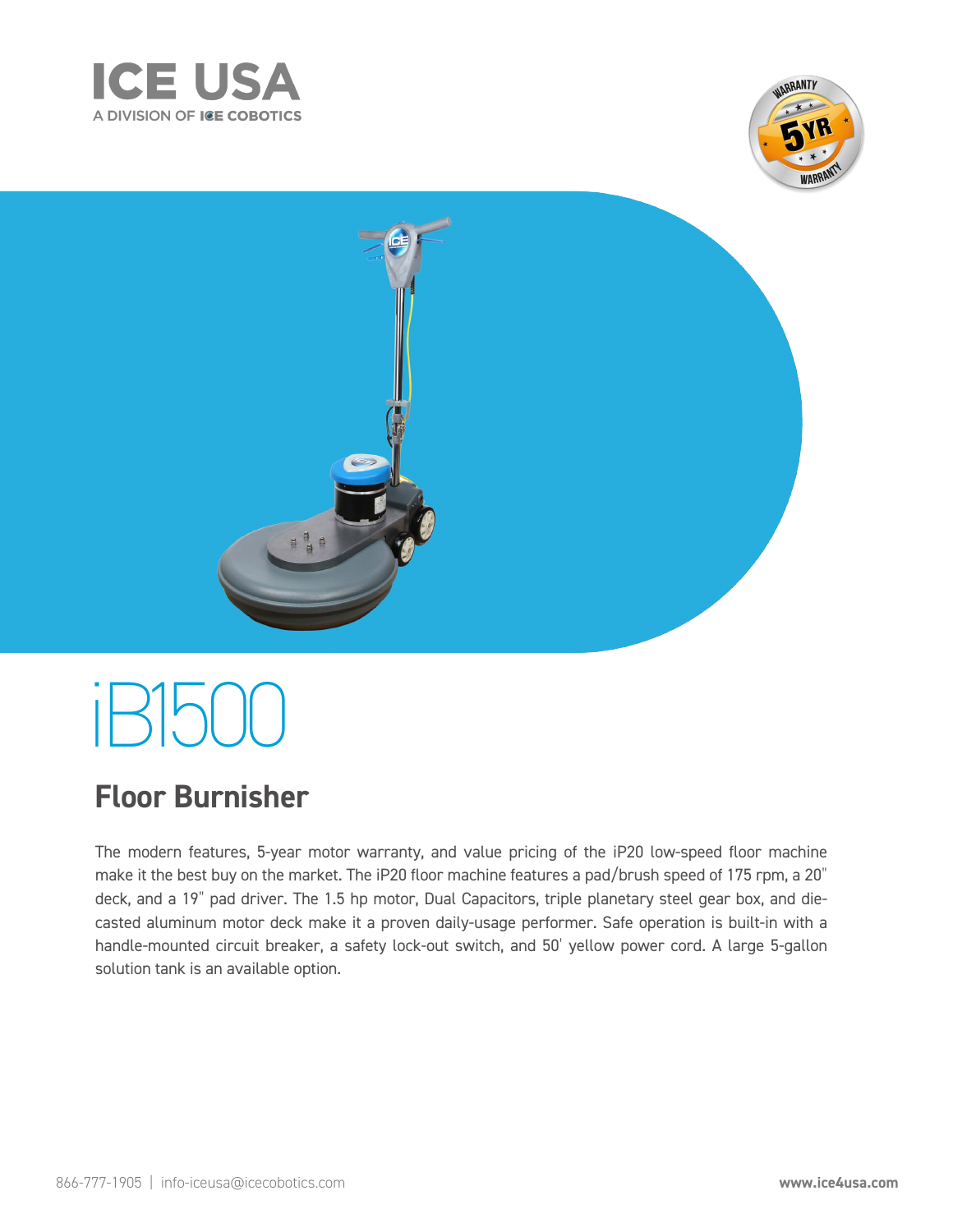



# iB2000

## **Floor Burnisher**

is the ulti ate burnisher or restorin loors to their ri ht ul sheen t co es e ui e ith he iB a loatin han le a ressure in ication syste assi e orte ust control syste an ol o n han le t olishes better lasts lon er an is ery uiet at only B t is one o the best alues on the ar et